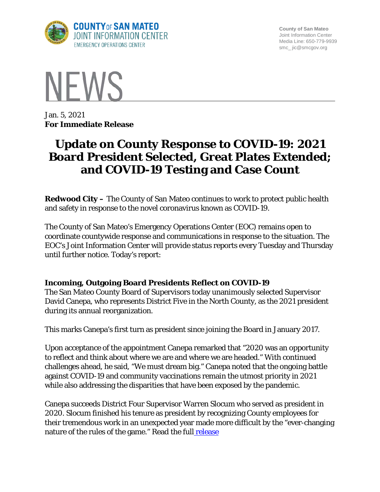

**County of San Mateo** Joint Information Center Media Line: 650-779-9939 smc\_ jic@smcgov.org



Jan. 5, 2021 **For Immediate Release**

# **Update on County Response to COVID-19: 2021 Board President Selected, Great Plates Extended; and COVID-19 Testing and Case Count**

**Redwood City –** The County of San Mateo continues to work to protect public health and safety in response to the novel coronavirus known as COVID-19.

The County of San Mateo's Emergency Operations Center (EOC) remains open to coordinate countywide response and communications in response to the situation. The EOC's Joint Information Center will provide status reports every Tuesday and Thursday until further notice. Today's report:

# **Incoming, Outgoing Board Presidents Reflect on COVID-19**

The San Mateo County Board of Supervisors today unanimously selected Supervisor David Canepa, who represents District Five in the North County, as the 2021 president during its annual reorganization.

This marks Canepa's first turn as president since joining the Board in January 2017.

Upon acceptance of the appointment Canepa remarked that "2020 was an opportunity to reflect and think about where we are and where we are headed." With continued challenges ahead, he said, "We must dream big." Canepa noted that the ongoing battle against COVID-19 and community vaccinations remain the utmost priority in 2021 while also addressing the disparities that have been exposed by the pandemic.

Canepa succeeds District Four Supervisor Warren Slocum who served as president in 2020. Slocum finished his tenure as president by recognizing County employees for their tremendous work in an unexpected year made more difficult by the "ever-changing nature of the rules of the game." Read the full [release](https://www.smcgov.org/press-release/san-mateo-county-board-supervisors-names-new-president)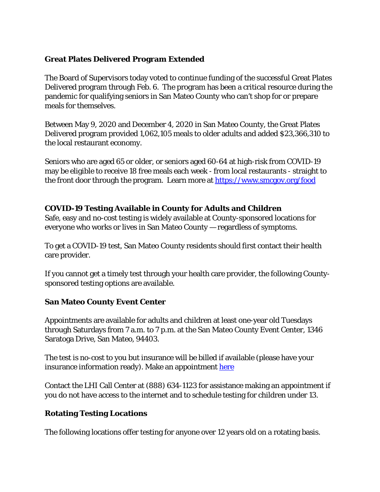### **Great Plates Delivered Program Extended**

The Board of Supervisors today voted to continue funding of the successful Great Plates Delivered program through Feb. 6. The program has been a critical resource during the pandemic for qualifying seniors in San Mateo County who can't shop for or prepare meals for themselves.

Between May 9, 2020 and December 4, 2020 in San Mateo County, the Great Plates Delivered program provided 1,062,105 meals to older adults and added \$23,366,310 to the local restaurant economy.

Seniors who are aged 65 or older, or seniors aged 60-64 at high-risk from COVID-19 may be eligible to receive 18 free meals each week - from local restaurants - straight to the front door through the program. Learn more at<https://www.smcgov.org/food>

### **COVID-19 Testing Available in County for Adults and Children**

Safe, easy and no-cost testing is widely available at County-sponsored locations for everyone who works or lives in San Mateo County — regardless of symptoms.

To get a COVID-19 test, San Mateo County residents should first contact their health care provider.

If you cannot get a timely test through your health care provider, the following Countysponsored testing options are available.

# **San Mateo County Event Center**

Appointments are available for adults and children at least one-year old Tuesdays through Saturdays from 7 a.m. to 7 p.m. at the San Mateo County Event Center, 1346 Saratoga Drive, San Mateo, 94403.

The test is no-cost to you but insurance will be billed if available (please have your insurance information ready). Make an appointment [here](https://lhi.care/covidtesting)

Contact the LHI Call Center at (888) 634-1123 for assistance making an appointment if you do not have access to the internet and to schedule testing for children under 13.

# **Rotating Testing Locations**

The following locations offer testing for anyone over 12 years old on a rotating basis.